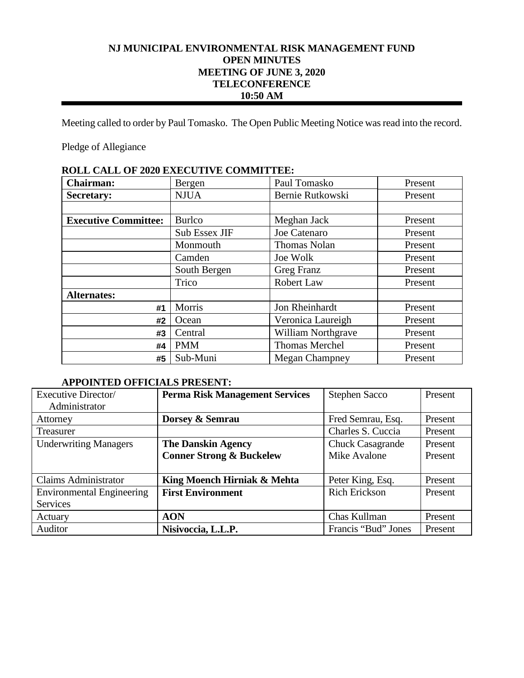# **NJ MUNICIPAL ENVIRONMENTAL RISK MANAGEMENT FUND OPEN MINUTES MEETING OF JUNE 3, 2020 TELECONFERENCE 10:50 AM**

Meeting called to order by Paul Tomasko. The Open Public Meeting Notice was read into the record.

Pledge of Allegiance

| ROLL CALL OF 2020 EALCOTIVE COMMITIELS. |               |                           |         |  |
|-----------------------------------------|---------------|---------------------------|---------|--|
| <b>Chairman:</b>                        | Bergen        | Paul Tomasko              | Present |  |
| <b>Secretary:</b>                       | <b>NJUA</b>   | Bernie Rutkowski          | Present |  |
|                                         |               |                           |         |  |
| <b>Executive Committee:</b>             | <b>Burlco</b> | Meghan Jack               | Present |  |
|                                         | Sub Essex JIF | Joe Catenaro              | Present |  |
|                                         | Monmouth      | <b>Thomas Nolan</b>       | Present |  |
|                                         | Camden        | Joe Wolk                  | Present |  |
|                                         | South Bergen  | Greg Franz                | Present |  |
|                                         | Trico         | Robert Law                | Present |  |
| <b>Alternates:</b>                      |               |                           |         |  |
| #1                                      | Morris        | Jon Rheinhardt            | Present |  |
| #2                                      | Ocean         | Veronica Laureigh         | Present |  |
| #3                                      | Central       | <b>William Northgrave</b> | Present |  |
| #4                                      | <b>PMM</b>    | Thomas Merchel            | Present |  |
| #5                                      | Sub-Muni      | <b>Megan Champney</b>     | Present |  |

# **ROLL CALL OF 2020 EXECUTIVE COMMITTEE:**

## **APPOINTED OFFICIALS PRESENT:**

| Executive Director/              | <b>Perma Risk Management Services</b> | <b>Stephen Sacco</b>    | Present |
|----------------------------------|---------------------------------------|-------------------------|---------|
| Administrator                    |                                       |                         |         |
| Attorney                         | Dorsey & Semrau                       | Fred Semrau, Esq.       | Present |
| Treasurer                        |                                       | Charles S. Cuccia       | Present |
| <b>Underwriting Managers</b>     | <b>The Danskin Agency</b>             | <b>Chuck Casagrande</b> | Present |
|                                  | <b>Conner Strong &amp; Buckelew</b>   | Mike Avalone            | Present |
|                                  |                                       |                         |         |
| <b>Claims Administrator</b>      | King Moench Hirniak & Mehta           | Peter King, Esq.        | Present |
| <b>Environmental Engineering</b> | <b>First Environment</b>              | <b>Rich Erickson</b>    | Present |
| Services                         |                                       |                         |         |
| Actuary                          | <b>AON</b>                            | Chas Kullman            | Present |
| Auditor                          | Nisivoccia, L.L.P.                    | Francis "Bud" Jones     | Present |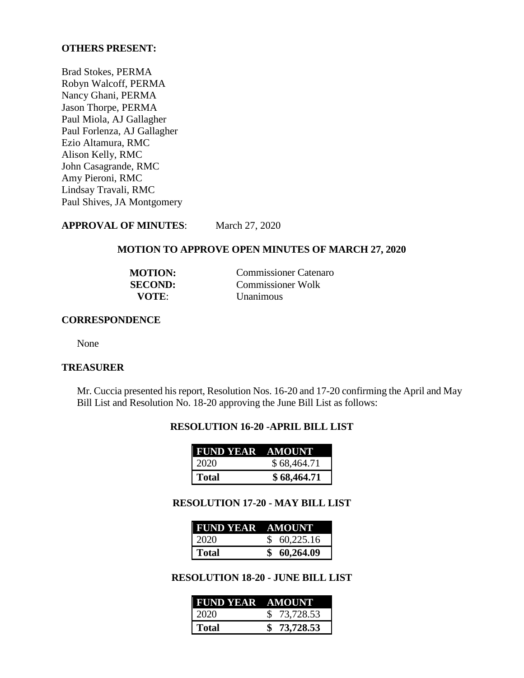## **OTHERS PRESENT:**

Brad Stokes, PERMA Robyn Walcoff, PERMA Nancy Ghani, PERMA Jason Thorpe, PERMA Paul Miola, AJ Gallagher Paul Forlenza, AJ Gallagher Ezio Altamura, RMC Alison Kelly, RMC John Casagrande, RMC Amy Pieroni, RMC Lindsay Travali, RMC Paul Shives, JA Montgomery

**APPROVAL OF MINUTES**: March 27, 2020

### **MOTION TO APPROVE OPEN MINUTES OF MARCH 27, 2020**

| <b>MOTION:</b> | <b>Commissioner Catenaro</b> |
|----------------|------------------------------|
| <b>SECOND:</b> | <b>Commissioner Wolk</b>     |
| VOTE:          | <b>Unanimous</b>             |

## **CORRESPONDENCE**

None

## **TREASURER**

Mr. Cuccia presented his report, Resolution Nos. 16-20 and 17-20 confirming the April and May Bill List and Resolution No. 18-20 approving the June Bill List as follows:

## **RESOLUTION 16-20 -APRIL BILL LIST**

| <b>FUND YEAR AMOUNT</b> |             |
|-------------------------|-------------|
| 2020                    | \$68,464.71 |
| Total                   | \$68,464.71 |

#### **RESOLUTION 17-20 - MAY BILL LIST**

| <b>FUND YEAR AMOUNT</b> |             |
|-------------------------|-------------|
| 2020                    | \$60,225.16 |
| Total                   | \$60,264.09 |

## **RESOLUTION 18-20 - JUNE BILL LIST**

| <b>FUND YEAR AMOUNT</b> |             |
|-------------------------|-------------|
| 2020                    | \$73,728.53 |
| Total                   | \$73,728.53 |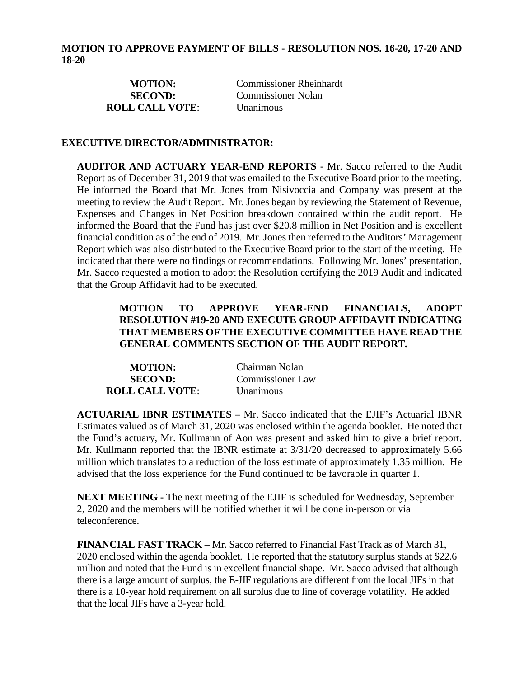| <b>MOTION:</b>         | <b>Commissioner Rheinhardt</b> |
|------------------------|--------------------------------|
| <b>SECOND:</b>         | <b>Commissioner Nolan</b>      |
| <b>ROLL CALL VOTE:</b> | <b>Unanimous</b>               |

## **EXECUTIVE DIRECTOR/ADMINISTRATOR:**

**AUDITOR AND ACTUARY YEAR-END REPORTS -** Mr. Sacco referred to the Audit Report as of December 31, 2019 that was emailed to the Executive Board prior to the meeting. He informed the Board that Mr. Jones from Nisivoccia and Company was present at the meeting to review the Audit Report. Mr. Jones began by reviewing the Statement of Revenue, Expenses and Changes in Net Position breakdown contained within the audit report. He informed the Board that the Fund has just over \$20.8 million in Net Position and is excellent financial condition as of the end of 2019. Mr. Jones then referred to the Auditors' Management Report which was also distributed to the Executive Board prior to the start of the meeting. He indicated that there were no findings or recommendations. Following Mr. Jones' presentation, Mr. Sacco requested a motion to adopt the Resolution certifying the 2019 Audit and indicated that the Group Affidavit had to be executed.

# **MOTION TO APPROVE YEAR-END FINANCIALS, ADOPT RESOLUTION #19-20 AND EXECUTE GROUP AFFIDAVIT INDICATING THAT MEMBERS OF THE EXECUTIVE COMMITTEE HAVE READ THE GENERAL COMMENTS SECTION OF THE AUDIT REPORT***.*

| <b>MOTION:</b>         | Chairman Nolan   |
|------------------------|------------------|
| <b>SECOND:</b>         | Commissioner Law |
| <b>ROLL CALL VOTE:</b> | <b>Unanimous</b> |

**ACTUARIAL IBNR ESTIMATES –** Mr. Sacco indicated that the EJIF's Actuarial IBNR Estimates valued as of March 31, 2020 was enclosed within the agenda booklet. He noted that the Fund's actuary, Mr. Kullmann of Aon was present and asked him to give a brief report. Mr. Kullmann reported that the IBNR estimate at 3/31/20 decreased to approximately 5.66 million which translates to a reduction of the loss estimate of approximately 1.35 million. He advised that the loss experience for the Fund continued to be favorable in quarter 1.

**NEXT MEETING -** The next meeting of the EJIF is scheduled for Wednesday, September 2, 2020 and the members will be notified whether it will be done in-person or via teleconference.

**FINANCIAL FAST TRACK** – Mr. Sacco referred to Financial Fast Track as of March 31, 2020 enclosed within the agenda booklet. He reported that the statutory surplus stands at \$22.6 million and noted that the Fund is in excellent financial shape. Mr. Sacco advised that although there is a large amount of surplus, the E-JIF regulations are different from the local JIFs in that there is a 10-year hold requirement on all surplus due to line of coverage volatility. He added that the local JIFs have a 3-year hold.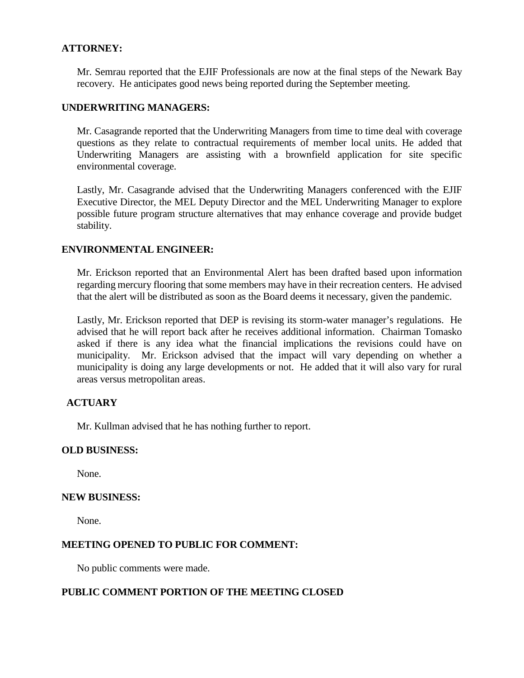## **ATTORNEY:**

Mr. Semrau reported that the EJIF Professionals are now at the final steps of the Newark Bay recovery. He anticipates good news being reported during the September meeting.

## **UNDERWRITING MANAGERS:**

Mr. Casagrande reported that the Underwriting Managers from time to time deal with coverage questions as they relate to contractual requirements of member local units. He added that Underwriting Managers are assisting with a brownfield application for site specific environmental coverage.

Lastly, Mr. Casagrande advised that the Underwriting Managers conferenced with the EJIF Executive Director, the MEL Deputy Director and the MEL Underwriting Manager to explore possible future program structure alternatives that may enhance coverage and provide budget stability.

## **ENVIRONMENTAL ENGINEER:**

Mr. Erickson reported that an Environmental Alert has been drafted based upon information regarding mercury flooring that some members may have in their recreation centers. He advised that the alert will be distributed as soon as the Board deems it necessary, given the pandemic.

Lastly, Mr. Erickson reported that DEP is revising its storm-water manager's regulations. He advised that he will report back after he receives additional information. Chairman Tomasko asked if there is any idea what the financial implications the revisions could have on municipality. Mr. Erickson advised that the impact will vary depending on whether a municipality is doing any large developments or not. He added that it will also vary for rural areas versus metropolitan areas.

## **ACTUARY**

Mr. Kullman advised that he has nothing further to report.

#### **OLD BUSINESS:**

None.

#### **NEW BUSINESS:**

None.

#### **MEETING OPENED TO PUBLIC FOR COMMENT:**

No public comments were made.

## **PUBLIC COMMENT PORTION OF THE MEETING CLOSED**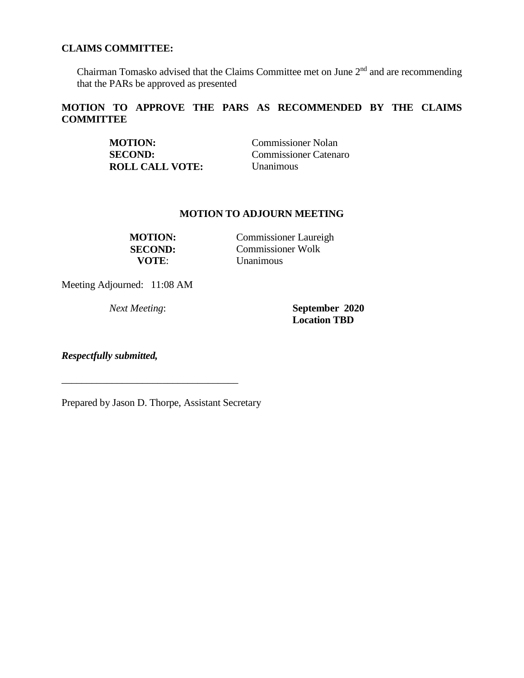## **CLAIMS COMMITTEE:**

Chairman Tomasko advised that the Claims Committee met on June  $2<sup>nd</sup>$  and are recommending that the PARs be approved as presented

# **MOTION TO APPROVE THE PARS AS RECOMMENDED BY THE CLAIMS COMMITTEE**

| <b>MOTION:</b>         | <b>Commissioner Nolan</b> |
|------------------------|---------------------------|
| <b>SECOND:</b>         | Commissioner Catenaro     |
| <b>ROLL CALL VOTE:</b> | <b>Unanimous</b>          |

### **MOTION TO ADJOURN MEETING**

**MOTION:** Commissioner Laureigh **SECOND:** Commissioner Wolk **VOTE**: Unanimous

Meeting Adjourned: 11:08 AM

*Next Meeting*: **September 2020 Location TBD**

*Respectfully submitted,*

Prepared by Jason D. Thorpe, Assistant Secretary

\_\_\_\_\_\_\_\_\_\_\_\_\_\_\_\_\_\_\_\_\_\_\_\_\_\_\_\_\_\_\_\_\_\_\_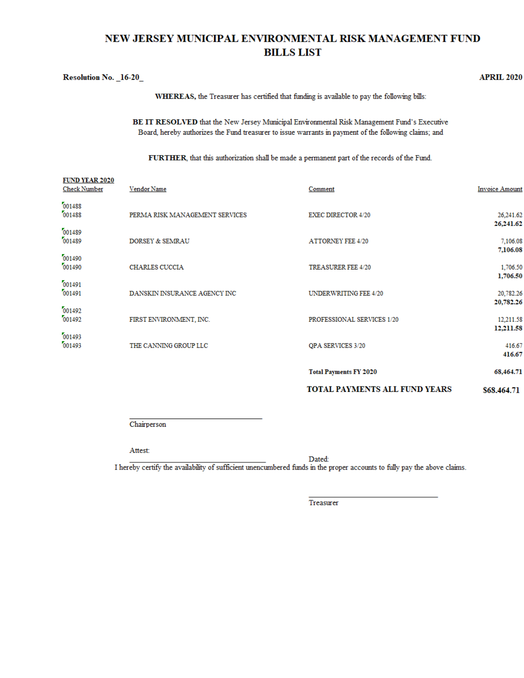# NEW JERSEY MUNICIPAL ENVIRONMENTAL RISK MANAGEMENT FUND **BILLS LIST**

| <b>Resolution No. 16-20</b> |                                                                                                    | <b>APRIL 2020</b> |
|-----------------------------|----------------------------------------------------------------------------------------------------|-------------------|
|                             | <b>WHEREAS</b> , the Treasurer has certified that funding is available to pay the following bills: |                   |

BE IT RESOLVED that the New Jersey Municipal Environmental Risk Management Fund's Executive Board, hereby authorizes the Fund treasurer to issue warrants in payment of the following claims; and

FURTHER, that this authorization shall be made a permanent part of the records of the Fund.

| <b>FUND YEAR 2020</b><br><b>Check Number</b> | Vendor Name                    | Comment                              | <b>Invoice Amount</b>         |
|----------------------------------------------|--------------------------------|--------------------------------------|-------------------------------|
| 001488<br>001488                             | PERMA RISK MANAGEMENT SERVICES | <b>EXEC DIRECTOR 4/20</b>            | 26,241.62<br>26,241.62        |
| 001489<br>001489                             | <b>DORSEY &amp; SEMRAU</b>     | <b>ATTORNEY FEE 4/20</b>             | 7,106.08<br>7,106.08          |
| 001490<br>001490                             | CHARLES CUCCIA                 | <b>TREASURER FEE 4/20</b>            | 1,706.50<br>1,706.50          |
| 001491<br>001491                             | DANSKIN INSURANCE AGENCY INC   | UNDERWRITING FEE 4/20                | 20,782.26                     |
| 001492<br>001492                             | FIRST ENVIRONMENT, INC.        | PROFESSIONAL SERVICES 1/20           | 20,782.26<br>12,211.58        |
| 001493<br>001493                             | THE CANNING GROUP LLC          | QPA SERVICES 3/20                    | 12,211.58<br>416.67<br>416.67 |
|                                              |                                | <b>Total Payments FY 2020</b>        | 68,464.71                     |
|                                              |                                | <b>TOTAL PAYMENTS ALL FUND YEARS</b> | \$68,464.71                   |

Chairperson

Attest:

Dated:

I hereby certify the availability of sufficient unencumbered funds in the proper accounts to fully pay the above claims.

Treasurer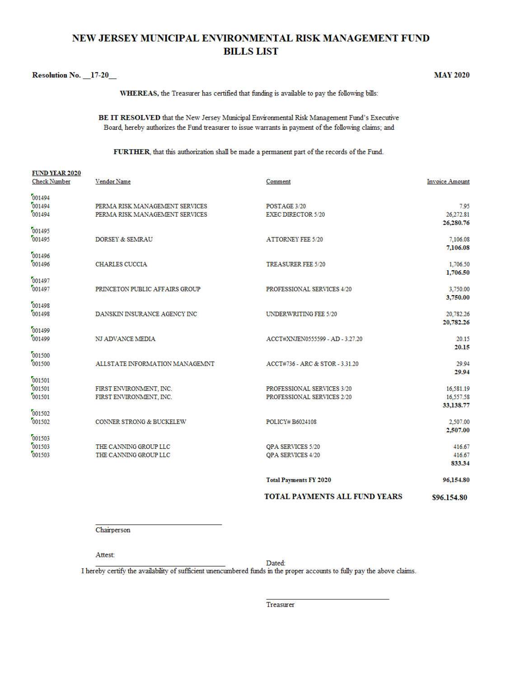# NEW JERSEY MUNICIPAL ENVIRONMENTAL RISK MANAGEMENT FUND **BILLS LIST**

#### Resolution No. 17-20

**MAY 2020** 

WHEREAS, the Treasurer has certified that funding is available to pay the following bills:

BE IT RESOLVED that the New Jersey Municipal Environmental Risk Management Fund's Executive Board, hereby authorizes the Fund treasurer to issue warrants in payment of the following claims; and

FURTHER, that this authorization shall be made a permanent part of the records of the Fund.

|                                              |                                                                  | TOTAL PAYMENTS ALL FUND YEARS                            | \$96,154.80                         |
|----------------------------------------------|------------------------------------------------------------------|----------------------------------------------------------|-------------------------------------|
|                                              |                                                                  | <b>Total Payments FY 2020</b>                            | 96,154.80                           |
| 001503                                       | THE CANNING GROUP LLC                                            | <b>OPA SERVICES 4/20</b>                                 | 416.67<br>833.34                    |
| 001503<br>001503                             | THE CANNING GROUP LLC                                            | QPA SERVICES 5/20                                        | 416.67                              |
| 001502<br>001502                             | CONNER STRONG & BUCKELEW                                         | POLICY# B6024108                                         | 2.507.00<br>2,507.00                |
| 001501<br>001501<br>001501                   | FIRST ENVIRONMENT, INC.<br>FIRST ENVIRONMENT, INC.               | PROFESSIONAL SERVICES 3/20<br>PROFESSIONAL SERVICES 2/20 | 16,581.19<br>16,557.58<br>33,138.77 |
| 001500<br>001500                             | ALLSTATE INFORMATION MANAGEMNT                                   | ACCT#736 - ARC & STOR - 3.31.20                          | 29.94<br>29.94                      |
| 001499<br>001499                             | NJ ADVANCE MEDIA                                                 | ACCT#XNJEN0555599 - AD - 3.27.20                         | 20.15<br>20.15                      |
| 001498<br>001498                             | DANSKIN INSURANCE AGENCY INC                                     | <b>UNDERWRITING FEE 5/20</b>                             | 20,782.26<br>20,782.26              |
| 001497<br>001497                             | PRINCETON PUBLIC AFFAIRS GROUP                                   | PROFESSIONAL SERVICES 4/20                               | 3,750.00<br>3,750.00                |
| 001496<br>001496                             | <b>CHARLES CUCCIA</b>                                            | TREASURER FEE 5/20                                       | 1,706.50<br>1,706.50                |
| 001495<br>001495                             | <b>DORSEY &amp; SEMRAU</b>                                       | <b>ATTORNEY FEE 5/20</b>                                 | 26,280.76<br>7,106.08<br>7,106.08   |
| 001494<br>001494<br>001494                   | PERMA RISK MANAGEMENT SERVICES<br>PERMA RISK MANAGEMENT SERVICES | POSTAGE 3/20<br><b>EXEC DIRECTOR 5/20</b>                | 7.95<br>26,272.81                   |
| <b>FUND YEAR 2020</b><br><b>Check Number</b> | Vendor Name                                                      | Comment                                                  | <b>Invoice Amount</b>               |

Chairperson

Attest:

Dated:

I hereby certify the availability of sufficient unencumbered funds in the proper accounts to fully pay the above claims.

Treasurer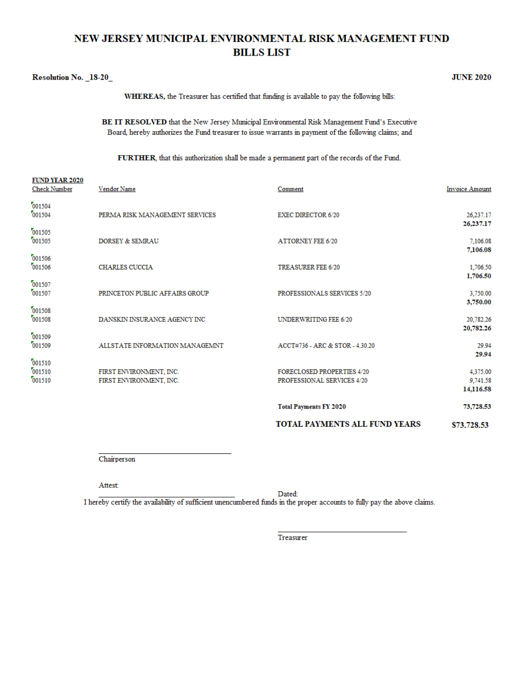# NEW JERSEY MUNICIPAL ENVIRONMENTAL RISK MANAGEMENT FUND **BILLS LIST**

#### Resolution No. 18-20

 $\overline{a}$   $\overline{b}$   $\overline{c}$   $\overline{c}$   $\overline{c}$   $\overline{c}$   $\overline{c}$   $\overline{c}$   $\overline{c}$   $\overline{c}$   $\overline{c}$   $\overline{c}$   $\overline{c}$   $\overline{c}$   $\overline{c}$   $\overline{c}$   $\overline{c}$   $\overline{c}$   $\overline{c}$   $\overline{c}$   $\overline{c}$   $\overline{c}$   $\overline{c}$   $\overline{c}$   $\overline{$ 

**JUNE 2020** 

WHEREAS, the Treasurer has certified that funding is available to pay the following bills:

BE IT RESOLVED that the New Jersey Municipal Environmental Risk Management Fund's Executive Board, hereby authorizes the Fund treasurer to issue warrants in payment of the following claims; and

FURTHER, that this authorization shall be made a permanent part of the records of the Fund.

| <b>FUND YEAR 2020</b><br><b>Check Number</b> | Vendor Name                                        | Comment                                                         | <b>Invoice Amount</b>                      |
|----------------------------------------------|----------------------------------------------------|-----------------------------------------------------------------|--------------------------------------------|
| 001504<br>001504                             | PERMA RISK MANAGEMENT SERVICES                     | <b>EXEC DIRECTOR 6/20</b>                                       | 26,237.17                                  |
| 001505<br>001505                             | DORSEY & SEMRAU                                    | <b>ATTORNEY FEE 6/20</b>                                        | 26,237.17<br>7,106.08<br>7,106.08          |
| 001506<br>001506                             | <b>CHARLES CUCCIA</b>                              | TREASURER FEE 6/20                                              | 1,706.50<br>1,706.50                       |
| 001507<br>001507                             | PRINCETON PUBLIC AFFAIRS GROUP                     | PROFESSIONALS SERVICES 5/20                                     | 3,750.00<br>3,750.00                       |
| 001508<br>001508                             | DANSKIN INSURANCE AGENCY INC                       | UNDERWRITING FEE 6/20                                           | 20,782.26                                  |
| 001509<br>001509                             | ALLSTATE INFORMATION MANAGEMNT                     | ACCT#736 - ARC & STOR - 4.30.20                                 | 20,782.26<br>29.94                         |
| 001510<br>001510<br>001510                   | FIRST ENVIRONMENT, INC.<br>FIRST ENVIRONMENT, INC. | <b>FORECLOSED PROPERTIES 4/20</b><br>PROFESSIONAL SERVICES 4/20 | 29.94<br>4,375.00<br>9,741.58<br>14,116.58 |
|                                              |                                                    | <b>Total Payments FY 2020</b>                                   | 73,728.53                                  |
|                                              |                                                    | TOTAL PAYMENTS ALL FUND YEARS                                   | \$73,728.53                                |

Chairperson

Attest:

Dated:

I hereby certify the availability of sufficient unencumbered funds in the proper accounts to fully pay the above claims.

Treasurer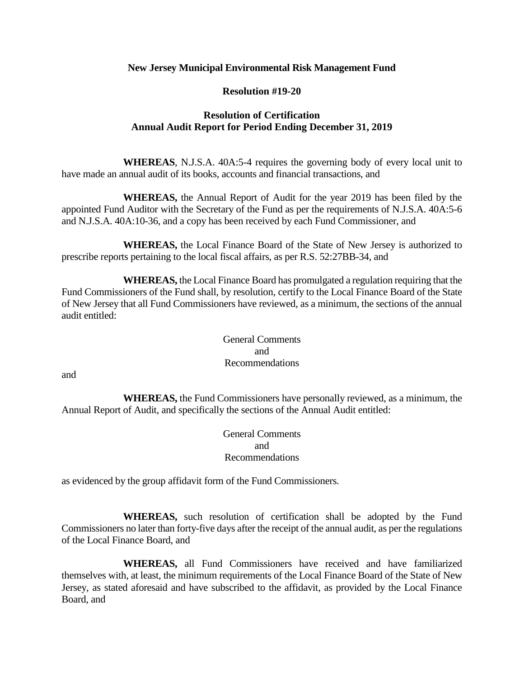## **New Jersey Municipal Environmental Risk Management Fund**

## **Resolution #19-20**

# **Resolution of Certification Annual Audit Report for Period Ending December 31, 2019**

**WHEREAS**, N.J.S.A. 40A:5-4 requires the governing body of every local unit to have made an annual audit of its books, accounts and financial transactions, and

**WHEREAS,** the Annual Report of Audit for the year 2019 has been filed by the appointed Fund Auditor with the Secretary of the Fund as per the requirements of N.J.S.A. 40A:5-6 and N.J.S.A. 40A:10-36, and a copy has been received by each Fund Commissioner, and

**WHEREAS,** the Local Finance Board of the State of New Jersey is authorized to prescribe reports pertaining to the local fiscal affairs, as per R.S. 52:27BB-34, and

**WHEREAS,** the Local Finance Board has promulgated a regulation requiring that the Fund Commissioners of the Fund shall, by resolution, certify to the Local Finance Board of the State of New Jersey that all Fund Commissioners have reviewed, as a minimum, the sections of the annual audit entitled:

> General Comments and Recommendations

and

**WHEREAS,** the Fund Commissioners have personally reviewed, as a minimum, the Annual Report of Audit, and specifically the sections of the Annual Audit entitled:

> General Comments and Recommendations

as evidenced by the group affidavit form of the Fund Commissioners.

**WHEREAS,** such resolution of certification shall be adopted by the Fund Commissioners no later than forty-five days after the receipt of the annual audit, as per the regulations of the Local Finance Board, and

**WHEREAS,** all Fund Commissioners have received and have familiarized themselves with, at least, the minimum requirements of the Local Finance Board of the State of New Jersey, as stated aforesaid and have subscribed to the affidavit, as provided by the Local Finance Board, and